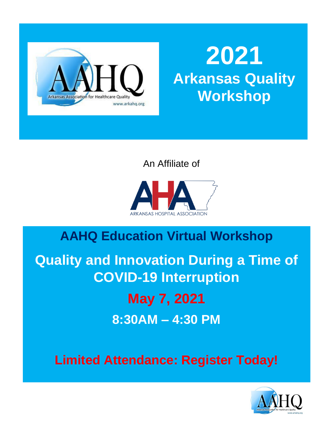

# **2021 Arkansas Quality Workshop**

An Affiliate of



## **AAHQ Education Virtual Workshop**

### **+ Quality and Innovation During a Time of COVID-19 Interruption**

# **May 7, 2021 8:30AM – 4:30 PM**

**Limited Attendance: Register Today!** 

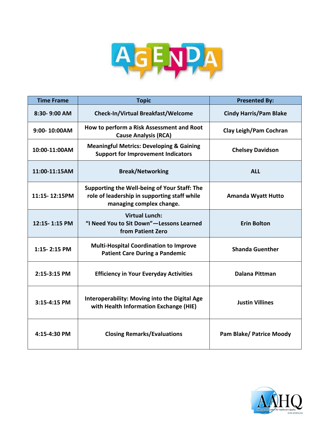

| <b>Time Frame</b> | <b>Topic</b>                                                                                                             | <b>Presented By:</b>            |
|-------------------|--------------------------------------------------------------------------------------------------------------------------|---------------------------------|
| $8:30 - 9:00$ AM  | Check-In/Virtual Breakfast/Welcome                                                                                       | <b>Cindy Harris/Pam Blake</b>   |
| 9:00-10:00AM      | How to perform a Risk Assessment and Root<br><b>Cause Analysis (RCA)</b>                                                 | Clay Leigh/Pam Cochran          |
| 10:00-11:00AM     | <b>Meaningful Metrics: Developing &amp; Gaining</b><br><b>Support for Improvement Indicators</b>                         | <b>Chelsey Davidson</b>         |
| 11:00-11:15AM     | <b>Break/Networking</b>                                                                                                  | <b>ALL</b>                      |
| 11:15-12:15PM     | Supporting the Well-being of Your Staff: The<br>role of leadership in supporting staff while<br>managing complex change. | <b>Amanda Wyatt Hutto</b>       |
| 12:15-1:15 PM     | <b>Virtual Lunch:</b><br>"I Need You to Sit Down"-Lessons Learned<br>from Patient Zero                                   | <b>Erin Bolton</b>              |
| 1:15-2:15 PM      | <b>Multi-Hospital Coordination to Improve</b><br><b>Patient Care During a Pandemic</b>                                   | <b>Shanda Guenther</b>          |
| 2:15-3:15 PM      | <b>Efficiency in Your Everyday Activities</b>                                                                            | <b>Dalana Pittman</b>           |
| 3:15-4:15 PM      | <b>Interoperability: Moving into the Digital Age</b><br>with Health Information Exchange (HIE)                           | <b>Justin Villines</b>          |
| 4:15-4:30 PM      | <b>Closing Remarks/Evaluations</b>                                                                                       | <b>Pam Blake/ Patrice Moody</b> |

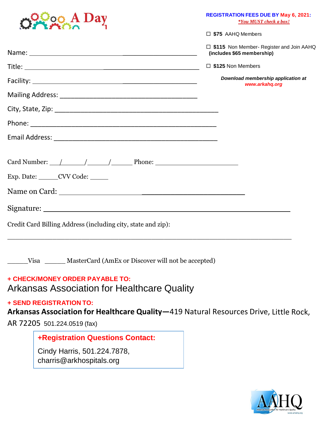| Day                                                          | <b>REGISTRATION FEES DUE BY May 6, 2021:</b><br><i>*You MUST check a box!</i> |
|--------------------------------------------------------------|-------------------------------------------------------------------------------|
|                                                              | $\Box$ \$75 AAHQ Members                                                      |
|                                                              | $\Box$ \$115 Non Member- Register and Join AAHQ<br>(includes \$65 membership) |
|                                                              | $\Box$ \$125 Non Members                                                      |
|                                                              | Download membership application at<br>www.arkahq.org                          |
|                                                              |                                                                               |
|                                                              |                                                                               |
|                                                              |                                                                               |
|                                                              |                                                                               |
| Card Number: $\angle$ / / / / Phone: _ Phone:                |                                                                               |
| Exp. Date: CVV Code:                                         |                                                                               |
|                                                              |                                                                               |
|                                                              |                                                                               |
| Credit Card Billing Address (including city, state and zip): |                                                                               |
|                                                              |                                                                               |

\_\_\_\_\_Visa \_\_\_\_\_ MasterCard (AmEx or Discover will not be accepted)

### **+ CHECK/MONEY ORDER PAYABLE TO:** Arkansas Association for Healthcare Quality

### **+ SEND REGISTRATION TO:**

**Arkansas Association for Healthcare Quality—**419 Natural Resources Drive, Little Rock,

AR 72205 501.224.0519 (fax)

#### **+Registration Questions Contact:**

Cindy Harris, 501.224.7878, [charris@arkhospitals.org](mailto:charris@arkhospitals.org)